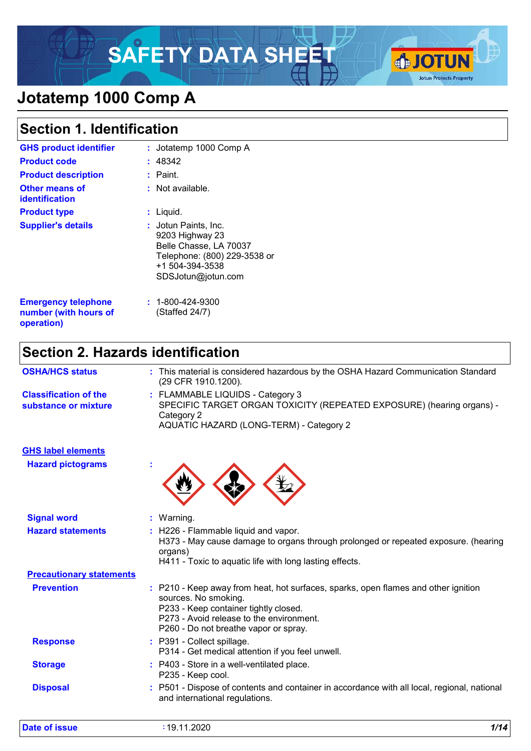# SAFETY DATA SHEET **& JOTUN**



# **Jotatemp 1000 Comp A**

# **Section 1. Identification**

| <b>GHS product identifier</b>                                     | : Jotatemp 1000 Comp A                                                                                                                             |
|-------------------------------------------------------------------|----------------------------------------------------------------------------------------------------------------------------------------------------|
| <b>Product code</b>                                               | 48342                                                                                                                                              |
| <b>Product description</b>                                        | : Paint.                                                                                                                                           |
| Other means of<br>identification                                  | $:$ Not available.                                                                                                                                 |
| <b>Product type</b>                                               | Liquid.<br>t.                                                                                                                                      |
| <b>Supplier's details</b>                                         | <b>: J</b> otun Paints, Inc.<br>9203 Highway 23<br>Belle Chasse, LA 70037<br>Telephone: (800) 229-3538 or<br>+1 504-394-3538<br>SDSJotun@jotun.com |
| <b>Emergency telephone</b><br>number (with hours of<br>operation) | $: 1 - 800 - 424 - 9300$<br>(Staffed 24/7)                                                                                                         |

# **Section 2. Hazards identification**

| <b>OSHA/HCS status</b>                               | : This material is considered hazardous by the OSHA Hazard Communication Standard<br>(29 CFR 1910.1200).                                                                                                                                 |
|------------------------------------------------------|------------------------------------------------------------------------------------------------------------------------------------------------------------------------------------------------------------------------------------------|
| <b>Classification of the</b><br>substance or mixture | : FLAMMABLE LIQUIDS - Category 3<br>SPECIFIC TARGET ORGAN TOXICITY (REPEATED EXPOSURE) (hearing organs) -<br>Category 2<br>AQUATIC HAZARD (LONG-TERM) - Category 2                                                                       |
| <b>GHS label elements</b>                            |                                                                                                                                                                                                                                          |
| <b>Hazard pictograms</b>                             |                                                                                                                                                                                                                                          |
| <b>Signal word</b>                                   | Warning.<br>t.                                                                                                                                                                                                                           |
| <b>Hazard statements</b>                             | : H226 - Flammable liquid and vapor.<br>H373 - May cause damage to organs through prolonged or repeated exposure. (hearing<br>organs)<br>H411 - Toxic to aquatic life with long lasting effects.                                         |
| <b>Precautionary statements</b>                      |                                                                                                                                                                                                                                          |
| <b>Prevention</b>                                    | : P210 - Keep away from heat, hot surfaces, sparks, open flames and other ignition<br>sources. No smoking.<br>P233 - Keep container tightly closed.<br>P273 - Avoid release to the environment.<br>P260 - Do not breathe vapor or spray. |
| <b>Response</b>                                      | : P391 - Collect spillage.<br>P314 - Get medical attention if you feel unwell.                                                                                                                                                           |
| <b>Storage</b>                                       | : P403 - Store in a well-ventilated place.<br>P235 - Keep cool.                                                                                                                                                                          |
| <b>Disposal</b>                                      | P501 - Dispose of contents and container in accordance with all local, regional, national<br>and international regulations.                                                                                                              |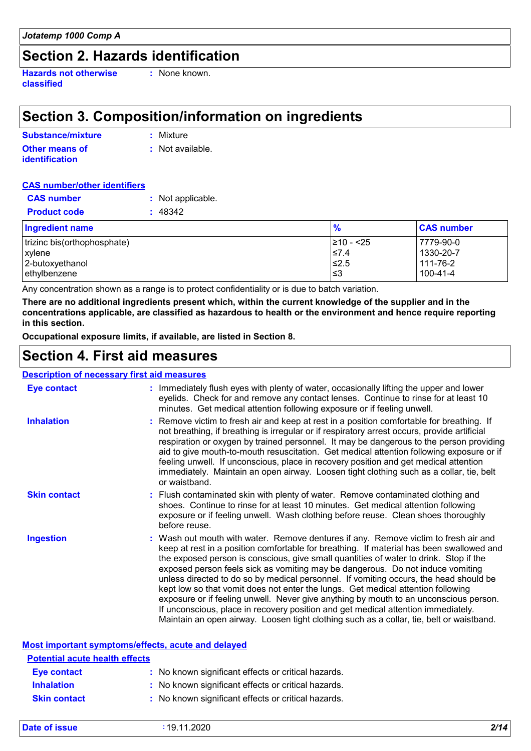### **Section 2. Hazards identification**

**Hazards not otherwise classified**

**:** None known.

# **Section 3. Composition/information on ingredients**

| Substance/mixture     | : Mixture        |
|-----------------------|------------------|
| <b>Other means of</b> | : Not available. |
| <b>identification</b> |                  |

#### **CAS number/other identifiers**

| <b>CAS number</b>           | : Not applicable. |                |                   |
|-----------------------------|-------------------|----------------|-------------------|
| <b>Product code</b>         | : 48342           |                |                   |
| <b>Ingredient name</b>      |                   | $\frac{9}{6}$  | <b>CAS number</b> |
| trizinc bis(orthophosphate) |                   | $\ge$ 10 - <25 | 7779-90-0         |
| xylene                      |                   | $≤7.4$         | 1330-20-7         |
| 2-butoxyethanol             |                   | $≤2.5$         | 111-76-2          |
| ethylbenzene                |                   | l≤3            | 100-41-4          |

Any concentration shown as a range is to protect confidentiality or is due to batch variation.

**There are no additional ingredients present which, within the current knowledge of the supplier and in the concentrations applicable, are classified as hazardous to health or the environment and hence require reporting in this section.**

**Occupational exposure limits, if available, are listed in Section 8.**

### **Section 4. First aid measures**

#### **Description of necessary first aid measures**

| <b>Eye contact</b>                                 | : Immediately flush eyes with plenty of water, occasionally lifting the upper and lower<br>eyelids. Check for and remove any contact lenses. Continue to rinse for at least 10<br>minutes. Get medical attention following exposure or if feeling unwell.                                                                                                                                                                                                                                                                                                                                                                                                                                                                                                                                                         |
|----------------------------------------------------|-------------------------------------------------------------------------------------------------------------------------------------------------------------------------------------------------------------------------------------------------------------------------------------------------------------------------------------------------------------------------------------------------------------------------------------------------------------------------------------------------------------------------------------------------------------------------------------------------------------------------------------------------------------------------------------------------------------------------------------------------------------------------------------------------------------------|
| <b>Inhalation</b>                                  | : Remove victim to fresh air and keep at rest in a position comfortable for breathing. If<br>not breathing, if breathing is irregular or if respiratory arrest occurs, provide artificial<br>respiration or oxygen by trained personnel. It may be dangerous to the person providing<br>aid to give mouth-to-mouth resuscitation. Get medical attention following exposure or if<br>feeling unwell. If unconscious, place in recovery position and get medical attention<br>immediately. Maintain an open airway. Loosen tight clothing such as a collar, tie, belt<br>or waistband.                                                                                                                                                                                                                              |
| <b>Skin contact</b>                                | : Flush contaminated skin with plenty of water. Remove contaminated clothing and<br>shoes. Continue to rinse for at least 10 minutes. Get medical attention following<br>exposure or if feeling unwell. Wash clothing before reuse. Clean shoes thoroughly<br>before reuse.                                                                                                                                                                                                                                                                                                                                                                                                                                                                                                                                       |
| <b>Ingestion</b>                                   | : Wash out mouth with water. Remove dentures if any. Remove victim to fresh air and<br>keep at rest in a position comfortable for breathing. If material has been swallowed and<br>the exposed person is conscious, give small quantities of water to drink. Stop if the<br>exposed person feels sick as vomiting may be dangerous. Do not induce vomiting<br>unless directed to do so by medical personnel. If vomiting occurs, the head should be<br>kept low so that vomit does not enter the lungs. Get medical attention following<br>exposure or if feeling unwell. Never give anything by mouth to an unconscious person.<br>If unconscious, place in recovery position and get medical attention immediately.<br>Maintain an open airway. Loosen tight clothing such as a collar, tie, belt or waistband. |
| Most important symptoms/effects, acute and delayed |                                                                                                                                                                                                                                                                                                                                                                                                                                                                                                                                                                                                                                                                                                                                                                                                                   |
| <b>Potential acute health effects</b>              |                                                                                                                                                                                                                                                                                                                                                                                                                                                                                                                                                                                                                                                                                                                                                                                                                   |
| <b>Eye contact</b>                                 | : No known significant effects or critical hazards.                                                                                                                                                                                                                                                                                                                                                                                                                                                                                                                                                                                                                                                                                                                                                               |
| <b>Inhalation</b>                                  | : No known significant effects or critical hazards.                                                                                                                                                                                                                                                                                                                                                                                                                                                                                                                                                                                                                                                                                                                                                               |
| <b>Skin contact</b>                                | : No known significant effects or critical hazards.                                                                                                                                                                                                                                                                                                                                                                                                                                                                                                                                                                                                                                                                                                                                                               |

| <b>Date of issue</b> | 19.11.2020 | 2/14 |
|----------------------|------------|------|
|                      |            |      |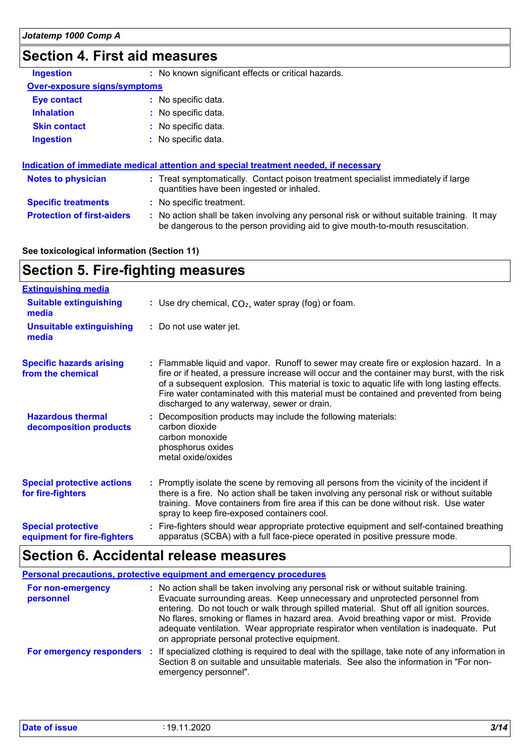# **Section 4. First aid measures**

| <b>Ingestion</b>                    | : No known significant effects or critical hazards. |  |  |  |
|-------------------------------------|-----------------------------------------------------|--|--|--|
| <b>Over-exposure signs/symptoms</b> |                                                     |  |  |  |
| <b>Eye contact</b>                  | : No specific data.                                 |  |  |  |
| <b>Inhalation</b>                   | : No specific data.                                 |  |  |  |
| <b>Skin contact</b>                 | : No specific data.                                 |  |  |  |
| <b>Ingestion</b>                    | : No specific data.                                 |  |  |  |

| Indication of immediate medical attention and special treatment needed, if necessary |                          |                                                                                                                                                                               |
|--------------------------------------------------------------------------------------|--------------------------|-------------------------------------------------------------------------------------------------------------------------------------------------------------------------------|
| <b>Notes to physician</b>                                                            |                          | : Treat symptomatically. Contact poison treatment specialist immediately if large<br>quantities have been ingested or inhaled.                                                |
| <b>Specific treatments</b>                                                           | : No specific treatment. |                                                                                                                                                                               |
| <b>Protection of first-aiders</b>                                                    |                          | : No action shall be taken involving any personal risk or without suitable training. It may<br>be dangerous to the person providing aid to give mouth-to-mouth resuscitation. |

**See toxicological information (Section 11)**

# **Section 5. Fire-fighting measures**

| <b>Extinguishing media</b>                               |                                                                                                                                                                                                                                                                                                                                                                                                                                 |
|----------------------------------------------------------|---------------------------------------------------------------------------------------------------------------------------------------------------------------------------------------------------------------------------------------------------------------------------------------------------------------------------------------------------------------------------------------------------------------------------------|
| <b>Suitable extinguishing</b><br>media                   | : Use dry chemical, $CO2$ , water spray (fog) or foam.                                                                                                                                                                                                                                                                                                                                                                          |
| <b>Unsuitable extinguishing</b><br>media                 | : Do not use water jet.                                                                                                                                                                                                                                                                                                                                                                                                         |
| <b>Specific hazards arising</b><br>from the chemical     | : Flammable liquid and vapor. Runoff to sewer may create fire or explosion hazard. In a<br>fire or if heated, a pressure increase will occur and the container may burst, with the risk<br>of a subsequent explosion. This material is toxic to aquatic life with long lasting effects.<br>Fire water contaminated with this material must be contained and prevented from being<br>discharged to any waterway, sewer or drain. |
| <b>Hazardous thermal</b><br>decomposition products       | Decomposition products may include the following materials:<br>carbon dioxide<br>carbon monoxide<br>phosphorus oxides<br>metal oxide/oxides                                                                                                                                                                                                                                                                                     |
| <b>Special protective actions</b><br>for fire-fighters   | : Promptly isolate the scene by removing all persons from the vicinity of the incident if<br>there is a fire. No action shall be taken involving any personal risk or without suitable<br>training. Move containers from fire area if this can be done without risk. Use water<br>spray to keep fire-exposed containers cool.                                                                                                   |
| <b>Special protective</b><br>equipment for fire-fighters | Fire-fighters should wear appropriate protective equipment and self-contained breathing<br>apparatus (SCBA) with a full face-piece operated in positive pressure mode.                                                                                                                                                                                                                                                          |

# **Section 6. Accidental release measures**

| <b>Personal precautions, protective equipment and emergency procedures</b> |                                                                                                                                                                                                                                                                                                                                                                                                                                                                                                 |  |
|----------------------------------------------------------------------------|-------------------------------------------------------------------------------------------------------------------------------------------------------------------------------------------------------------------------------------------------------------------------------------------------------------------------------------------------------------------------------------------------------------------------------------------------------------------------------------------------|--|
| For non-emergency<br>personnel                                             | : No action shall be taken involving any personal risk or without suitable training.<br>Evacuate surrounding areas. Keep unnecessary and unprotected personnel from<br>entering. Do not touch or walk through spilled material. Shut off all ignition sources.<br>No flares, smoking or flames in hazard area. Avoid breathing vapor or mist. Provide<br>adequate ventilation. Wear appropriate respirator when ventilation is inadequate. Put<br>on appropriate personal protective equipment. |  |
| For emergency responders                                                   | : If specialized clothing is required to deal with the spillage, take note of any information in<br>Section 8 on suitable and unsuitable materials. See also the information in "For non-<br>emergency personnel".                                                                                                                                                                                                                                                                              |  |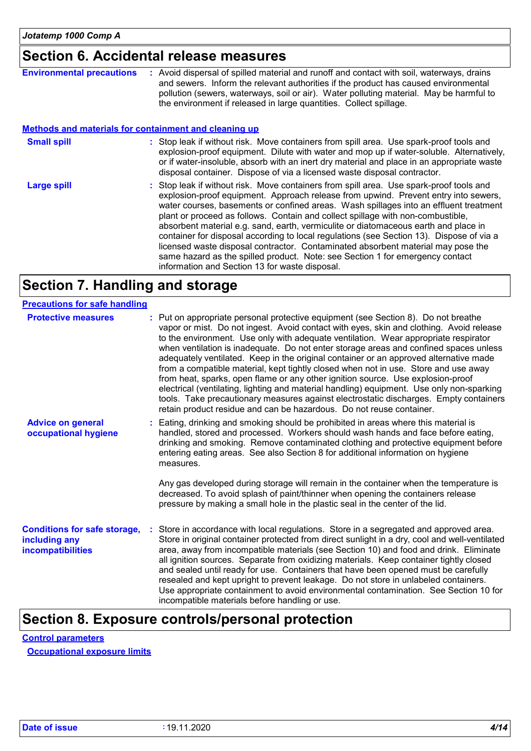# **Section 6. Accidental release measures**

| <b>Environmental precautions</b>                             | : Avoid dispersal of spilled material and runoff and contact with soil, waterways, drains<br>and sewers. Inform the relevant authorities if the product has caused environmental<br>pollution (sewers, waterways, soil or air). Water polluting material. May be harmful to<br>the environment if released in large quantities. Collect spillage.                                                                                                                                                                                                                                                                                                                                                                                                                    |
|--------------------------------------------------------------|----------------------------------------------------------------------------------------------------------------------------------------------------------------------------------------------------------------------------------------------------------------------------------------------------------------------------------------------------------------------------------------------------------------------------------------------------------------------------------------------------------------------------------------------------------------------------------------------------------------------------------------------------------------------------------------------------------------------------------------------------------------------|
| <b>Methods and materials for containment and cleaning up</b> |                                                                                                                                                                                                                                                                                                                                                                                                                                                                                                                                                                                                                                                                                                                                                                      |
| <b>Small spill</b>                                           | : Stop leak if without risk. Move containers from spill area. Use spark-proof tools and<br>explosion-proof equipment. Dilute with water and mop up if water-soluble. Alternatively,<br>or if water-insoluble, absorb with an inert dry material and place in an appropriate waste<br>disposal container. Dispose of via a licensed waste disposal contractor.                                                                                                                                                                                                                                                                                                                                                                                                        |
| Large spill                                                  | : Stop leak if without risk. Move containers from spill area. Use spark-proof tools and<br>explosion-proof equipment. Approach release from upwind. Prevent entry into sewers,<br>water courses, basements or confined areas. Wash spillages into an effluent treatment<br>plant or proceed as follows. Contain and collect spillage with non-combustible,<br>absorbent material e.g. sand, earth, vermiculite or diatomaceous earth and place in<br>container for disposal according to local regulations (see Section 13). Dispose of via a<br>licensed waste disposal contractor. Contaminated absorbent material may pose the<br>same hazard as the spilled product. Note: see Section 1 for emergency contact<br>information and Section 13 for waste disposal. |

# **Section 7. Handling and storage**

| <b>Precautions for safe handling</b>                                      |                                                                                                                                                                                                                                                                                                                                                                                                                                                                                                                                                                                                                                                                                                                                                                                                                                                                                              |
|---------------------------------------------------------------------------|----------------------------------------------------------------------------------------------------------------------------------------------------------------------------------------------------------------------------------------------------------------------------------------------------------------------------------------------------------------------------------------------------------------------------------------------------------------------------------------------------------------------------------------------------------------------------------------------------------------------------------------------------------------------------------------------------------------------------------------------------------------------------------------------------------------------------------------------------------------------------------------------|
| <b>Protective measures</b>                                                | Put on appropriate personal protective equipment (see Section 8). Do not breathe<br>vapor or mist. Do not ingest. Avoid contact with eyes, skin and clothing. Avoid release<br>to the environment. Use only with adequate ventilation. Wear appropriate respirator<br>when ventilation is inadequate. Do not enter storage areas and confined spaces unless<br>adequately ventilated. Keep in the original container or an approved alternative made<br>from a compatible material, kept tightly closed when not in use. Store and use away<br>from heat, sparks, open flame or any other ignition source. Use explosion-proof<br>electrical (ventilating, lighting and material handling) equipment. Use only non-sparking<br>tools. Take precautionary measures against electrostatic discharges. Empty containers<br>retain product residue and can be hazardous. Do not reuse container. |
| <b>Advice on general</b><br>occupational hygiene                          | Eating, drinking and smoking should be prohibited in areas where this material is<br>handled, stored and processed. Workers should wash hands and face before eating,<br>drinking and smoking. Remove contaminated clothing and protective equipment before<br>entering eating areas. See also Section 8 for additional information on hygiene<br>measures.                                                                                                                                                                                                                                                                                                                                                                                                                                                                                                                                  |
|                                                                           | Any gas developed during storage will remain in the container when the temperature is<br>decreased. To avoid splash of paint/thinner when opening the containers release<br>pressure by making a small hole in the plastic seal in the center of the lid.                                                                                                                                                                                                                                                                                                                                                                                                                                                                                                                                                                                                                                    |
| <b>Conditions for safe storage,</b><br>including any<br>incompatibilities | Store in accordance with local regulations. Store in a segregated and approved area.<br>Store in original container protected from direct sunlight in a dry, cool and well-ventilated<br>area, away from incompatible materials (see Section 10) and food and drink. Eliminate<br>all ignition sources. Separate from oxidizing materials. Keep container tightly closed<br>and sealed until ready for use. Containers that have been opened must be carefully<br>resealed and kept upright to prevent leakage. Do not store in unlabeled containers.<br>Use appropriate containment to avoid environmental contamination. See Section 10 for<br>incompatible materials before handling or use.                                                                                                                                                                                              |

# **Section 8. Exposure controls/personal protection**

**Control parameters**

**Occupational exposure limits**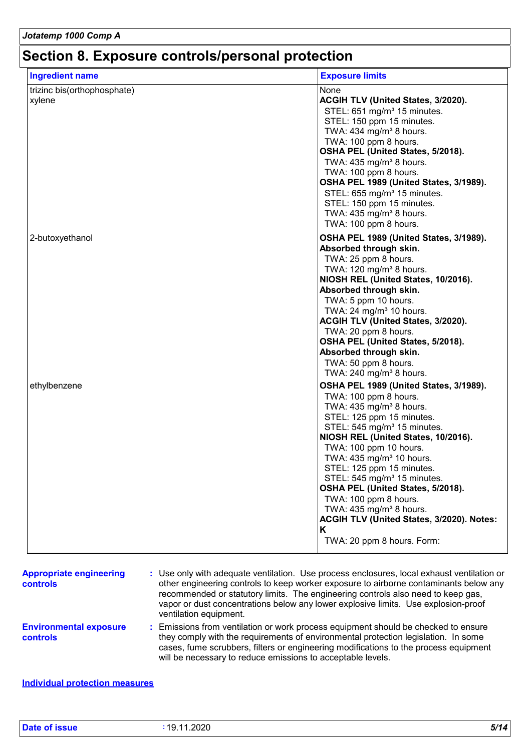# **Section 8. Exposure controls/personal protection**

| <b>Ingredient name</b>                | <b>Exposure limits</b>                                                                                                                                                                                                                                                                                                                                                                                                                                                                                                                             |
|---------------------------------------|----------------------------------------------------------------------------------------------------------------------------------------------------------------------------------------------------------------------------------------------------------------------------------------------------------------------------------------------------------------------------------------------------------------------------------------------------------------------------------------------------------------------------------------------------|
| trizinc bis(orthophosphate)<br>xylene | None<br>ACGIH TLV (United States, 3/2020).<br>STEL: 651 mg/m <sup>3</sup> 15 minutes.<br>STEL: 150 ppm 15 minutes.<br>TWA: 434 mg/m <sup>3</sup> 8 hours.<br>TWA: 100 ppm 8 hours.<br>OSHA PEL (United States, 5/2018).<br>TWA: $435 \text{ mg/m}^3$ 8 hours.<br>TWA: 100 ppm 8 hours.<br>OSHA PEL 1989 (United States, 3/1989).<br>STEL: 655 mg/m <sup>3</sup> 15 minutes.<br>STEL: 150 ppm 15 minutes.<br>TWA: 435 mg/m <sup>3</sup> 8 hours.<br>TWA: 100 ppm 8 hours.                                                                           |
| 2-butoxyethanol                       | OSHA PEL 1989 (United States, 3/1989).<br>Absorbed through skin.<br>TWA: 25 ppm 8 hours.<br>TWA: 120 mg/m <sup>3</sup> 8 hours.<br>NIOSH REL (United States, 10/2016).<br>Absorbed through skin.<br>TWA: 5 ppm 10 hours.<br>TWA: $24 \text{ mg/m}^3$ 10 hours.<br><b>ACGIH TLV (United States, 3/2020).</b><br>TWA: 20 ppm 8 hours.<br>OSHA PEL (United States, 5/2018).<br>Absorbed through skin.<br>TWA: 50 ppm 8 hours.<br>TWA: 240 mg/m <sup>3</sup> 8 hours.                                                                                  |
| ethylbenzene                          | OSHA PEL 1989 (United States, 3/1989).<br>TWA: 100 ppm 8 hours.<br>TWA: $435 \text{ mg/m}^3$ 8 hours.<br>STEL: 125 ppm 15 minutes.<br>STEL: $545 \text{ mg/m}^3$ 15 minutes.<br>NIOSH REL (United States, 10/2016).<br>TWA: 100 ppm 10 hours.<br>TWA: 435 mg/m <sup>3</sup> 10 hours.<br>STEL: 125 ppm 15 minutes.<br>STEL: 545 mg/m <sup>3</sup> 15 minutes.<br>OSHA PEL (United States, 5/2018).<br>TWA: 100 ppm 8 hours.<br>TWA: 435 mg/m <sup>3</sup> 8 hours.<br>ACGIH TLV (United States, 3/2020). Notes:<br>Κ<br>TWA: 20 ppm 8 hours. Form: |

| <b>Appropriate engineering</b><br><b>controls</b> | : Use only with adequate ventilation. Use process enclosures, local exhaust ventilation or<br>other engineering controls to keep worker exposure to airborne contaminants below any<br>recommended or statutory limits. The engineering controls also need to keep gas,<br>vapor or dust concentrations below any lower explosive limits. Use explosion-proof<br>ventilation equipment. |
|---------------------------------------------------|-----------------------------------------------------------------------------------------------------------------------------------------------------------------------------------------------------------------------------------------------------------------------------------------------------------------------------------------------------------------------------------------|
| <b>Environmental exposure</b><br><b>controls</b>  | : Emissions from ventilation or work process equipment should be checked to ensure<br>they comply with the requirements of environmental protection legislation. In some<br>cases, fume scrubbers, filters or engineering modifications to the process equipment<br>will be necessary to reduce emissions to acceptable levels.                                                         |

#### **Individual protection measures**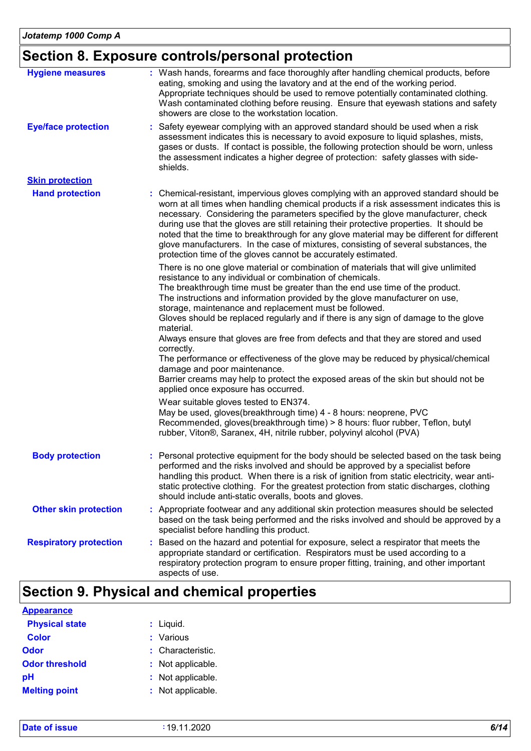# **Section 8. Exposure controls/personal protection**

| <b>Hygiene measures</b>       | : Wash hands, forearms and face thoroughly after handling chemical products, before<br>eating, smoking and using the lavatory and at the end of the working period.<br>Appropriate techniques should be used to remove potentially contaminated clothing.<br>Wash contaminated clothing before reusing. Ensure that eyewash stations and safety<br>showers are close to the workstation location.                                                                                                                                                                                                                                                                                                                                                                                                                                 |
|-------------------------------|-----------------------------------------------------------------------------------------------------------------------------------------------------------------------------------------------------------------------------------------------------------------------------------------------------------------------------------------------------------------------------------------------------------------------------------------------------------------------------------------------------------------------------------------------------------------------------------------------------------------------------------------------------------------------------------------------------------------------------------------------------------------------------------------------------------------------------------|
| <b>Eye/face protection</b>    | : Safety eyewear complying with an approved standard should be used when a risk<br>assessment indicates this is necessary to avoid exposure to liquid splashes, mists,<br>gases or dusts. If contact is possible, the following protection should be worn, unless<br>the assessment indicates a higher degree of protection: safety glasses with side-<br>shields.                                                                                                                                                                                                                                                                                                                                                                                                                                                                |
| <b>Skin protection</b>        |                                                                                                                                                                                                                                                                                                                                                                                                                                                                                                                                                                                                                                                                                                                                                                                                                                   |
| <b>Hand protection</b>        | : Chemical-resistant, impervious gloves complying with an approved standard should be<br>worn at all times when handling chemical products if a risk assessment indicates this is<br>necessary. Considering the parameters specified by the glove manufacturer, check<br>during use that the gloves are still retaining their protective properties. It should be<br>noted that the time to breakthrough for any glove material may be different for different<br>glove manufacturers. In the case of mixtures, consisting of several substances, the<br>protection time of the gloves cannot be accurately estimated.                                                                                                                                                                                                            |
|                               | There is no one glove material or combination of materials that will give unlimited<br>resistance to any individual or combination of chemicals.<br>The breakthrough time must be greater than the end use time of the product.<br>The instructions and information provided by the glove manufacturer on use,<br>storage, maintenance and replacement must be followed.<br>Gloves should be replaced regularly and if there is any sign of damage to the glove<br>material.<br>Always ensure that gloves are free from defects and that they are stored and used<br>correctly.<br>The performance or effectiveness of the glove may be reduced by physical/chemical<br>damage and poor maintenance.<br>Barrier creams may help to protect the exposed areas of the skin but should not be<br>applied once exposure has occurred. |
|                               | Wear suitable gloves tested to EN374.<br>May be used, gloves(breakthrough time) 4 - 8 hours: neoprene, PVC<br>Recommended, gloves(breakthrough time) > 8 hours: fluor rubber, Teflon, butyl<br>rubber, Viton®, Saranex, 4H, nitrile rubber, polyvinyl alcohol (PVA)                                                                                                                                                                                                                                                                                                                                                                                                                                                                                                                                                               |
| <b>Body protection</b>        | : Personal protective equipment for the body should be selected based on the task being<br>performed and the risks involved and should be approved by a specialist before<br>handling this product. When there is a risk of ignition from static electricity, wear anti-<br>static protective clothing. For the greatest protection from static discharges, clothing<br>should include anti-static overalls, boots and gloves.                                                                                                                                                                                                                                                                                                                                                                                                    |
| <b>Other skin protection</b>  | : Appropriate footwear and any additional skin protection measures should be selected<br>based on the task being performed and the risks involved and should be approved by a<br>specialist before handling this product.                                                                                                                                                                                                                                                                                                                                                                                                                                                                                                                                                                                                         |
| <b>Respiratory protection</b> | : Based on the hazard and potential for exposure, select a respirator that meets the<br>appropriate standard or certification. Respirators must be used according to a<br>respiratory protection program to ensure proper fitting, training, and other important<br>aspects of use.                                                                                                                                                                                                                                                                                                                                                                                                                                                                                                                                               |

# **Section 9. Physical and chemical properties**

| <b>Appearance</b>     |                   |
|-----------------------|-------------------|
| <b>Physical state</b> | $:$ Liquid.       |
| <b>Color</b>          | : Various         |
| Odor                  | : Characteristic. |
| <b>Odor threshold</b> | : Not applicable. |
| рH                    | : Not applicable. |
| <b>Melting point</b>  | : Not applicable. |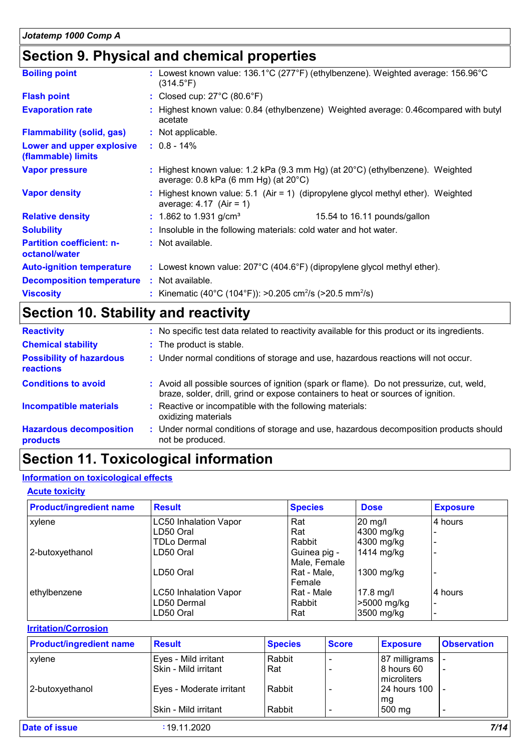# **Section 9. Physical and chemical properties**

| <b>Boiling point</b>                              | : Lowest known value: $136.1^{\circ}$ C (277 $^{\circ}$ F) (ethylbenzene). Weighted average: $156.96^{\circ}$ C<br>(314.5°F)                |  |  |
|---------------------------------------------------|---------------------------------------------------------------------------------------------------------------------------------------------|--|--|
| <b>Flash point</b>                                | : Closed cup: $27^{\circ}$ C (80.6 $^{\circ}$ F)                                                                                            |  |  |
| <b>Evaporation rate</b>                           | : Highest known value: 0.84 (ethylbenzene) Weighted average: 0.46compared with butyl<br>acetate                                             |  |  |
| <b>Flammability (solid, gas)</b>                  | : Not applicable.                                                                                                                           |  |  |
| Lower and upper explosive<br>(flammable) limits   | $: 0.8 - 14\%$                                                                                                                              |  |  |
| <b>Vapor pressure</b>                             | : Highest known value: 1.2 kPa (9.3 mm Hg) (at $20^{\circ}$ C) (ethylbenzene). Weighted<br>average: $0.8$ kPa (6 mm Hg) (at $20^{\circ}$ C) |  |  |
| <b>Vapor density</b>                              | Highest known value: $5.1$ (Air = 1) (dipropylene glycol methyl ether). Weighted<br>average: $4.17$ (Air = 1)                               |  |  |
| <b>Relative density</b>                           | : 1.862 to 1.931 g/cm <sup>3</sup><br>15.54 to 16.11 pounds/gallon                                                                          |  |  |
| <b>Solubility</b>                                 | : Insoluble in the following materials: cold water and hot water.                                                                           |  |  |
| <b>Partition coefficient: n-</b><br>octanol/water | : Not available.                                                                                                                            |  |  |
| <b>Auto-ignition temperature</b>                  | : Lowest known value: $207^{\circ}$ C (404.6°F) (dipropylene glycol methyl ether).                                                          |  |  |
| <b>Decomposition temperature</b>                  | : Not available.                                                                                                                            |  |  |
| <b>Viscosity</b>                                  | : Kinematic (40°C (104°F)): >0.205 cm <sup>2</sup> /s (>20.5 mm <sup>2</sup> /s)                                                            |  |  |

# **Section 10. Stability and reactivity**

| <b>Reactivity</b>                                   | No specific test data related to reactivity available for this product or its ingredients.                                                                                   |
|-----------------------------------------------------|------------------------------------------------------------------------------------------------------------------------------------------------------------------------------|
| <b>Chemical stability</b>                           | : The product is stable.                                                                                                                                                     |
| <b>Possibility of hazardous</b><br><b>reactions</b> | : Under normal conditions of storage and use, hazardous reactions will not occur.                                                                                            |
| <b>Conditions to avoid</b>                          | : Avoid all possible sources of ignition (spark or flame). Do not pressurize, cut, weld,<br>braze, solder, drill, grind or expose containers to heat or sources of ignition. |
| <b>Incompatible materials</b>                       | Reactive or incompatible with the following materials:<br>oxidizing materials                                                                                                |
| <b>Hazardous decomposition</b><br>products          | : Under normal conditions of storage and use, hazardous decomposition products should<br>not be produced.                                                                    |

# **Section 11. Toxicological information**

#### **Information on toxicological effects**

#### **Acute toxicity**

| <b>Product/ingredient name</b> | <b>Result</b>                | <b>Species</b> | <b>Dose</b>       | <b>Exposure</b> |
|--------------------------------|------------------------------|----------------|-------------------|-----------------|
| xylene                         | <b>LC50 Inhalation Vapor</b> | Rat            | $20 \text{ mg/l}$ | l4 hours        |
|                                | LD50 Oral                    | Rat            | 4300 mg/kg        |                 |
|                                | TDLo Dermal                  | Rabbit         | 4300 mg/kg        |                 |
| 2-butoxyethanol                | LD50 Oral                    | Guinea pig -   | 1414 mg/kg        |                 |
|                                |                              | Male, Female   |                   |                 |
|                                | LD50 Oral                    | Rat - Male,    | 1300 mg/kg        |                 |
|                                |                              | Female         |                   |                 |
| ethylbenzene                   | <b>LC50 Inhalation Vapor</b> | Rat - Male     | $17.8$ mg/l       | 4 hours         |
|                                | LD50 Dermal                  | Rabbit         | >5000 mg/kg       |                 |
|                                | LD50 Oral                    | Rat            | 3500 mg/kg        |                 |

#### **Irritation/Corrosion**

| <b>Observation</b>       |
|--------------------------|
| 87 milligrams            |
| $\overline{\phantom{a}}$ |
|                          |
| -                        |
|                          |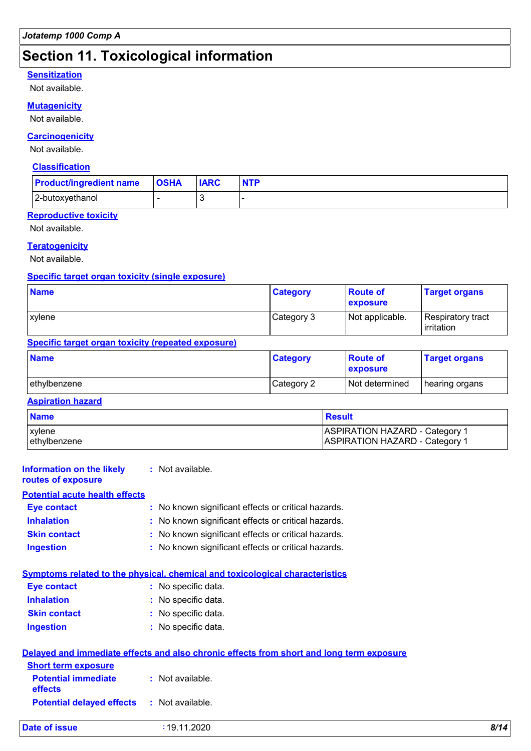# **Section 11. Toxicological information**

#### **Sensitization**

Not available.

#### **Mutagenicity**

Not available.

#### **Carcinogenicity**

Not available.

#### **Classification**

| <b>Product/ingredient name   OSHA</b> | <b>IARC</b> | <b>NTP</b> |
|---------------------------------------|-------------|------------|
| 2-butoxyethanol                       |             |            |

#### **Reproductive toxicity**

Not available.

#### **Teratogenicity**

Not available.

#### **Specific target organ toxicity (single exposure)**

| <b>Name</b> | <b>Category</b> | <b>Route of</b><br>exposure | <b>Target organs</b>                      |
|-------------|-----------------|-----------------------------|-------------------------------------------|
| xvlene      | Category 3      | Not applicable.             | Respiratory tract_<br><b>l</b> irritation |

#### **Specific target organ toxicity (repeated exposure)**

| <b>Name</b>   | <b>Category</b> | <b>Route of</b><br><b>exposure</b> | <b>Target organs</b> |
|---------------|-----------------|------------------------------------|----------------------|
| lethylbenzene | Category 2      | Not determined                     | hearing organs       |

#### **Aspiration hazard**

| <b>Name</b>    | <b>Result</b>                         |
|----------------|---------------------------------------|
| <b>Exvlene</b> | <b>ASPIRATION HAZARD - Category 1</b> |
| lethylbenzene  | <b>ASPIRATION HAZARD - Category 1</b> |

| <b>Information on the likely</b><br>routes of exposure | : Not available.                                                                    |
|--------------------------------------------------------|-------------------------------------------------------------------------------------|
| <b>Potential acute health effects</b>                  |                                                                                     |
| Eye contact                                            | : No known significant effects or critical hazards.                                 |
| <b>Inhalation</b>                                      | : No known significant effects or critical hazards.                                 |
| <b>Skin contact</b>                                    | : No known significant effects or critical hazards.                                 |
| <b>Ingestion</b>                                       | : No known significant effects or critical hazards.                                 |
|                                                        | <b>Symptoms related to the physical, chemical and toxicological characteristics</b> |

| <b>Eye contact</b>  | : No specific data. |
|---------------------|---------------------|
| <b>Inhalation</b>   | : No specific data. |
| <b>Skin contact</b> | : No specific data. |
| <b>Ingestion</b>    | : No specific data. |

|                                                   | Delayed and immediate effects and also chronic effects from short and long term exposure |
|---------------------------------------------------|------------------------------------------------------------------------------------------|
| <b>Short term exposure</b>                        |                                                                                          |
| <b>Potential immediate</b><br><b>effects</b>      | : Not available.                                                                         |
| <b>Potential delayed effects : Not available.</b> |                                                                                          |

| <b>Date of issue</b><br>: 19.11.2020 | 8/14 |
|--------------------------------------|------|
|--------------------------------------|------|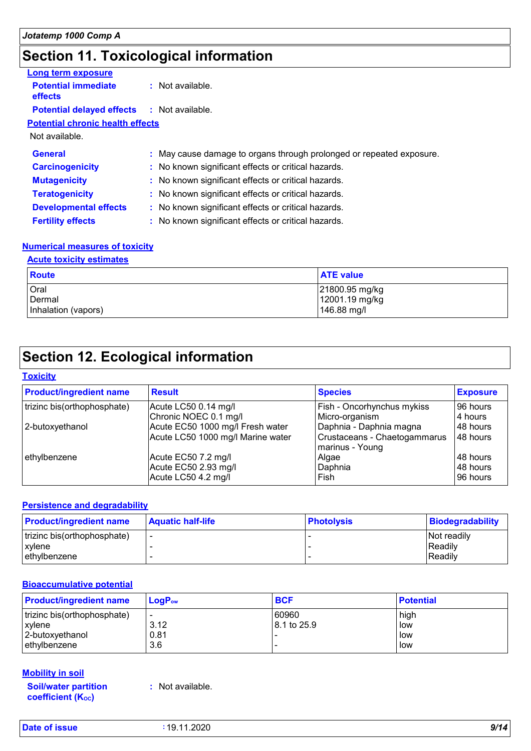# **Section 11. Toxicological information**

| Long term exposure                           |                                                                      |
|----------------------------------------------|----------------------------------------------------------------------|
| <b>Potential immediate</b><br><b>effects</b> | : Not available.                                                     |
| <b>Potential delayed effects</b>             | : Not available.                                                     |
| <b>Potential chronic health effects</b>      |                                                                      |
| Not available.                               |                                                                      |
| <b>General</b>                               | : May cause damage to organs through prolonged or repeated exposure. |
| <b>Carcinogenicity</b>                       | : No known significant effects or critical hazards.                  |
| <b>Mutagenicity</b>                          | : No known significant effects or critical hazards.                  |
| <b>Teratogenicity</b>                        | : No known significant effects or critical hazards.                  |
| <b>Developmental effects</b>                 | : No known significant effects or critical hazards.                  |
| <b>Fertility effects</b>                     | : No known significant effects or critical hazards.                  |
|                                              |                                                                      |

#### **Numerical measures of toxicity**

#### **Acute toxicity estimates**

| <b>Route</b>        | <b>ATE value</b> |
|---------------------|------------------|
| Oral                | 21800.95 mg/kg   |
| Dermal              | 12001.19 mg/kg   |
| Inhalation (vapors) | 146.88 mg/l      |

# **Section 12. Ecological information**

#### **Toxicity**

| <b>Product/ingredient name</b> | <b>Result</b>                     | <b>Species</b>                                  | <b>Exposure</b> |
|--------------------------------|-----------------------------------|-------------------------------------------------|-----------------|
| trizinc bis(orthophosphate)    | Acute LC50 0.14 mg/l              | Fish - Oncorhynchus mykiss                      | 96 hours        |
|                                | Chronic NOEC 0.1 mg/l             | Micro-organism                                  | 4 hours         |
| 2-butoxyethanol                | Acute EC50 1000 mg/l Fresh water  | Daphnia - Daphnia magna                         | 48 hours        |
|                                | Acute LC50 1000 mg/l Marine water | Crustaceans - Chaetogammarus<br>marinus - Young | 48 hours        |
| ethylbenzene                   | Acute EC50 7.2 mg/l               | Algae                                           | 48 hours        |
|                                | Acute EC50 2.93 mg/l              | Daphnia                                         | 48 hours        |
|                                | Acute LC50 4.2 mg/l               | Fish                                            | 96 hours        |

#### **Persistence and degradability**

| <b>Product/ingredient name</b> | <b>Aquatic half-life</b> | <b>Photolysis</b> | Biodegradability   |
|--------------------------------|--------------------------|-------------------|--------------------|
| trizinc bis(orthophosphate)    |                          |                   | <b>Not readily</b> |
| xvlene                         |                          |                   | Readily            |
| lethvlbenzene                  |                          |                   | Readily            |

#### **Bioaccumulative potential**

| <b>Product/ingredient name</b> | $\mathsf{LogP}_\mathsf{ow}$ | <b>BCF</b>  | <b>Potential</b> |
|--------------------------------|-----------------------------|-------------|------------------|
| trizinc bis(orthophosphate)    | $\overline{\phantom{a}}$    | 60960       | high             |
| <b>xvlene</b>                  | 3.12                        | 8.1 to 25.9 | low              |
| 2-butoxyethanol                | 0.81                        |             | low              |
| ethylbenzene                   | 3.6                         |             | low              |

#### **Mobility in soil**

**Soil/water partition coefficient (Koc)** 

**:** Not available.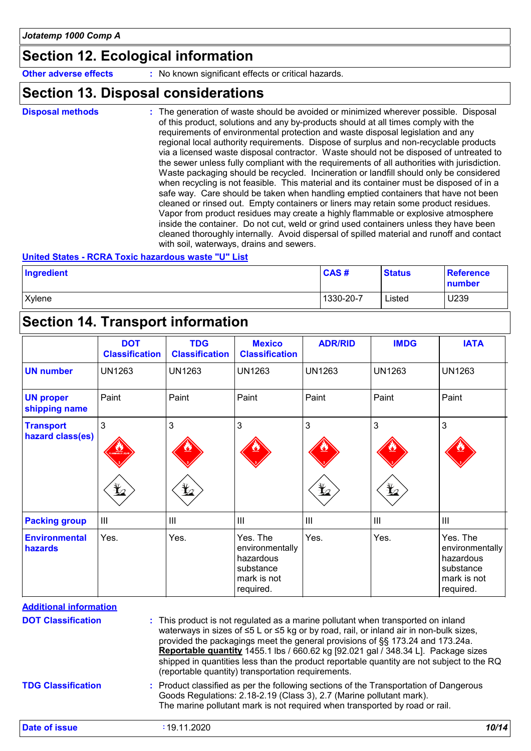# **Section 12. Ecological information**

**Other adverse effects** : No known significant effects or critical hazards.

### **Section 13. Disposal considerations**

The generation of waste should be avoided or minimized wherever possible. Disposal of this product, solutions and any by-products should at all times comply with the requirements of environmental protection and waste disposal legislation and any regional local authority requirements. Dispose of surplus and non-recyclable products via a licensed waste disposal contractor. Waste should not be disposed of untreated to the sewer unless fully compliant with the requirements of all authorities with jurisdiction. Waste packaging should be recycled. Incineration or landfill should only be considered when recycling is not feasible. This material and its container must be disposed of in a safe way. Care should be taken when handling emptied containers that have not been cleaned or rinsed out. Empty containers or liners may retain some product residues. Vapor from product residues may create a highly flammable or explosive atmosphere inside the container. Do not cut, weld or grind used containers unless they have been cleaned thoroughly internally. Avoid dispersal of spilled material and runoff and contact with soil, waterways, drains and sewers. **Disposal methods :**

#### **United States - RCRA Toxic hazardous waste "U" List**

| Ingredient | CAS#      | <b>Status</b> | <b>Reference</b><br>number |
|------------|-----------|---------------|----------------------------|
| Xylene     | 1330-20-7 | Listed        | U239                       |

### **Section 14. Transport information**

|                                      | <b>DOT</b><br><b>Classification</b> | <b>TDG</b><br><b>Classification</b> | <b>Mexico</b><br><b>Classification</b>                                            | <b>ADR/RID</b>  | <b>IMDG</b>    | <b>IATA</b>                                                                       |
|--------------------------------------|-------------------------------------|-------------------------------------|-----------------------------------------------------------------------------------|-----------------|----------------|-----------------------------------------------------------------------------------|
| <b>UN number</b>                     | <b>UN1263</b>                       | <b>UN1263</b>                       | <b>UN1263</b>                                                                     | <b>UN1263</b>   | <b>UN1263</b>  | <b>UN1263</b>                                                                     |
| <b>UN proper</b><br>shipping name    | Paint                               | Paint                               | Paint                                                                             | Paint           | Paint          | Paint                                                                             |
| <b>Transport</b><br>hazard class(es) | 3<br><b>MBLE LK</b><br>y            | 3<br>$\bigstar$                     | 3                                                                                 | 3<br>$\bigstar$ | 3<br>迄         | 3                                                                                 |
| <b>Packing group</b>                 | $\mathbf{III}$                      | III                                 | $\  \ $                                                                           | III             | $\mathbf{III}$ | $\mathbf{III}$                                                                    |
| <b>Environmental</b><br>hazards      | Yes.                                | Yes.                                | Yes. The<br>environmentally<br>hazardous<br>substance<br>mark is not<br>required. | Yes.            | Yes.           | Yes. The<br>environmentally<br>hazardous<br>substance<br>mark is not<br>required. |

**Additional information**

| <b>DOT Classification</b> | : This product is not regulated as a marine pollutant when transported on inland<br>waterways in sizes of ≤5 L or ≤5 kg or by road, rail, or inland air in non-bulk sizes,<br>provided the packagings meet the general provisions of §§ 173.24 and 173.24a.<br><b>Reportable quantity</b> 1455.1 lbs / 660.62 kg [92.021 gal / 348.34 L]. Package sizes<br>shipped in quantities less than the product reportable quantity are not subject to the RQ<br>(reportable quantity) transportation requirements. |
|---------------------------|------------------------------------------------------------------------------------------------------------------------------------------------------------------------------------------------------------------------------------------------------------------------------------------------------------------------------------------------------------------------------------------------------------------------------------------------------------------------------------------------------------|
| <b>TDG Classification</b> | : Product classified as per the following sections of the Transportation of Dangerous<br>Goods Regulations: 2.18-2.19 (Class 3), 2.7 (Marine pollutant mark).<br>The marine pollutant mark is not required when transported by road or rail.                                                                                                                                                                                                                                                               |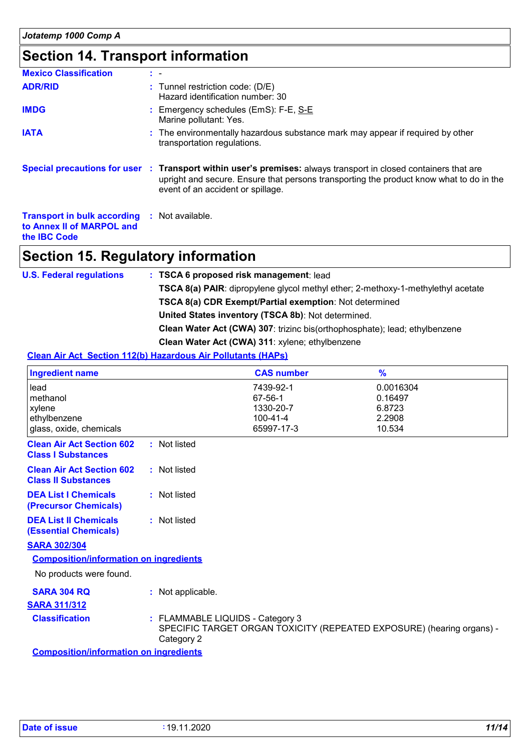# **Section 14. Transport information**

| <b>Mexico Classification</b>                                                                            | t - |                                                                                                                                                                                                                                                 |
|---------------------------------------------------------------------------------------------------------|-----|-------------------------------------------------------------------------------------------------------------------------------------------------------------------------------------------------------------------------------------------------|
| <b>ADR/RID</b>                                                                                          |     | : Tunnel restriction code: (D/E)<br>Hazard identification number: 30                                                                                                                                                                            |
| <b>IMDG</b>                                                                                             |     | : Emergency schedules (EmS): F-E, S-E<br>Marine pollutant: Yes.                                                                                                                                                                                 |
| <b>IATA</b>                                                                                             |     | : The environmentally hazardous substance mark may appear if required by other<br>transportation regulations.                                                                                                                                   |
|                                                                                                         |     | Special precautions for user : Transport within user's premises: always transport in closed containers that are<br>upright and secure. Ensure that persons transporting the product know what to do in the<br>event of an accident or spillage. |
| <b>Transport in bulk according : Not available.</b><br>to Annex II of MARPOL and<br>the <b>IBC</b> Code |     |                                                                                                                                                                                                                                                 |

# **Section 15. Regulatory information**

| <b>U.S. Federal regulations</b> | : TSCA 6 proposed risk management: lead                                                 |
|---------------------------------|-----------------------------------------------------------------------------------------|
|                                 | <b>TSCA 8(a) PAIR:</b> dipropylene glycol methyl ether; 2-methoxy-1-methylethyl acetate |
|                                 | TSCA 8(a) CDR Exempt/Partial exemption: Not determined                                  |
|                                 | United States inventory (TSCA 8b): Not determined.                                      |
|                                 | <b>Clean Water Act (CWA) 307: trizinc bis (orthophosphate); lead; ethylbenzene</b>      |
|                                 | Clean Water Act (CWA) 311: xylene; ethylbenzene                                         |

#### **Clean Air Act Section 112(b) Hazardous Air Pollutants (HAPs)**

|                   | <b>CAS number</b>                             | $\frac{9}{6}$                                                                                             |
|-------------------|-----------------------------------------------|-----------------------------------------------------------------------------------------------------------|
|                   | 7439-92-1<br>67-56-1                          | 0.0016304<br>0.16497                                                                                      |
|                   | 1330-20-7<br>100-41-4<br>65997-17-3           | 6.8723<br>2.2908<br>10.534                                                                                |
| : Not listed      |                                               |                                                                                                           |
| : Not listed      |                                               |                                                                                                           |
| : Not listed      |                                               |                                                                                                           |
| : Not listed      |                                               |                                                                                                           |
|                   |                                               |                                                                                                           |
|                   |                                               |                                                                                                           |
|                   |                                               |                                                                                                           |
| : Not applicable. |                                               |                                                                                                           |
|                   |                                               |                                                                                                           |
| Category 2        |                                               |                                                                                                           |
|                   | <b>Composition/information on ingredients</b> | : FLAMMABLE LIQUIDS - Category 3<br>SPECIFIC TARGET ORGAN TOXICITY (REPEATED EXPOSURE) (hearing organs) - |

**Composition/information on ingredients**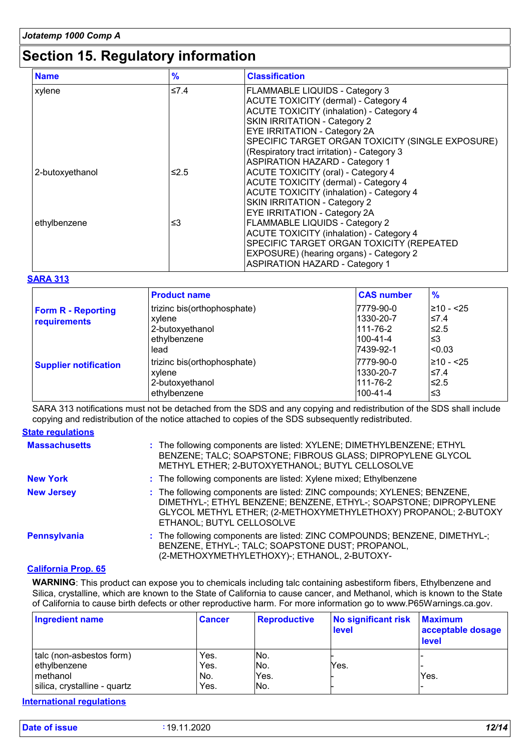# **Section 15. Regulatory information**

| <b>Name</b>     | $\frac{9}{6}$ | <b>Classification</b>                            |
|-----------------|---------------|--------------------------------------------------|
| xylene          | ≤7.4          | <b>FLAMMABLE LIQUIDS - Category 3</b>            |
|                 |               | <b>ACUTE TOXICITY (dermal) - Category 4</b>      |
|                 |               | <b>ACUTE TOXICITY (inhalation) - Category 4</b>  |
|                 |               | <b>SKIN IRRITATION - Category 2</b>              |
|                 |               | <b>EYE IRRITATION - Category 2A</b>              |
|                 |               | SPECIFIC TARGET ORGAN TOXICITY (SINGLE EXPOSURE) |
|                 |               | (Respiratory tract irritation) - Category 3      |
|                 |               | <b>ASPIRATION HAZARD - Category 1</b>            |
| 2-butoxyethanol | ≤2.5          | <b>ACUTE TOXICITY (oral) - Category 4</b>        |
|                 |               | ACUTE TOXICITY (dermal) - Category 4             |
|                 |               | <b>ACUTE TOXICITY (inhalation) - Category 4</b>  |
|                 |               | SKIN IRRITATION - Category 2                     |
|                 |               | <b>EYE IRRITATION - Category 2A</b>              |
| ethylbenzene    | ≤3            | FLAMMABLE LIQUIDS - Category 2                   |
|                 |               | <b>ACUTE TOXICITY (inhalation) - Category 4</b>  |
|                 |               | SPECIFIC TARGET ORGAN TOXICITY (REPEATED         |
|                 |               | EXPOSURE) (hearing organs) - Category 2          |
|                 |               | <b>ASPIRATION HAZARD - Category 1</b>            |

#### **SARA 313**

|                              | <b>Product name</b>         | <b>CAS number</b> | $\frac{9}{6}$  |
|------------------------------|-----------------------------|-------------------|----------------|
| <b>Form R - Reporting</b>    | trizinc bis(orthophosphate) | 7779-90-0         | l≥10 - <25     |
| requirements                 | xylene                      | 1330-20-7         | ≤7.4           |
|                              | 2-butoxyethanol             | $111 - 76 - 2$    | ≤2.5           |
|                              | ethylbenzene                | 100-41-4          | l≤3            |
|                              | lead                        | 7439-92-1         | l<0.03         |
| <b>Supplier notification</b> | trizinc bis(orthophosphate) | 7779-90-0         | $\geq 10 - 25$ |
|                              | xylene                      | 1330-20-7         | $\leq 7.4$     |
|                              | 2-butoxyethanol             | 111-76-2          | $\leq 2.5$     |
|                              | ethylbenzene                | 100-41-4          | l≤3            |

SARA 313 notifications must not be detached from the SDS and any copying and redistribution of the SDS shall include copying and redistribution of the notice attached to copies of the SDS subsequently redistributed.

#### **State regulations**

| <b>Massachusetts</b> | : The following components are listed: XYLENE; DIMETHYLBENZENE; ETHYL<br>BENZENE; TALC; SOAPSTONE; FIBROUS GLASS; DIPROPYLENE GLYCOL<br>METHYL ETHER; 2-BUTOXYETHANOL; BUTYL CELLOSOLVE                                                       |
|----------------------|-----------------------------------------------------------------------------------------------------------------------------------------------------------------------------------------------------------------------------------------------|
| <b>New York</b>      | : The following components are listed: Xylene mixed; Ethylbenzene                                                                                                                                                                             |
| <b>New Jersey</b>    | : The following components are listed: ZINC compounds; XYLENES; BENZENE,<br>DIMETHYL-; ETHYL BENZENE; BENZENE, ETHYL-; SOAPSTONE; DIPROPYLENE<br>GLYCOL METHYL ETHER; (2-METHOXYMETHYLETHOXY) PROPANOL; 2-BUTOXY<br>ETHANOL; BUTYL CELLOSOLVE |
| Pennsylvania         | : The following components are listed: ZINC COMPOUNDS; BENZENE, DIMETHYL-;<br>BENZENE, ETHYL-; TALC; SOAPSTONE DUST; PROPANOL,<br>(2-METHOXYMETHYLETHOXY)-; ETHANOL, 2-BUTOXY-                                                                |

#### **California Prop. 65**

**WARNING**: This product can expose you to chemicals including talc containing asbestiform fibers, Ethylbenzene and Silica, crystalline, which are known to the State of California to cause cancer, and Methanol, which is known to the State of California to cause birth defects or other reproductive harm. For more information go to www.P65Warnings.ca.gov.

| <b>Ingredient name</b>       | <b>Cancer</b> | <b>Reproductive</b> | No significant risk<br><b>level</b> | <b>Maximum</b><br>acceptable dosage<br><b>level</b> |
|------------------------------|---------------|---------------------|-------------------------------------|-----------------------------------------------------|
| talc (non-asbestos form)     | Yes.          | No.                 |                                     |                                                     |
| ethylbenzene<br>Imethanol    | Yes.<br>No.   | No.<br>Yes.         | Yes.                                | Yes.                                                |
| silica, crystalline - quartz | Yes.          | No.                 |                                     |                                                     |

**International regulations**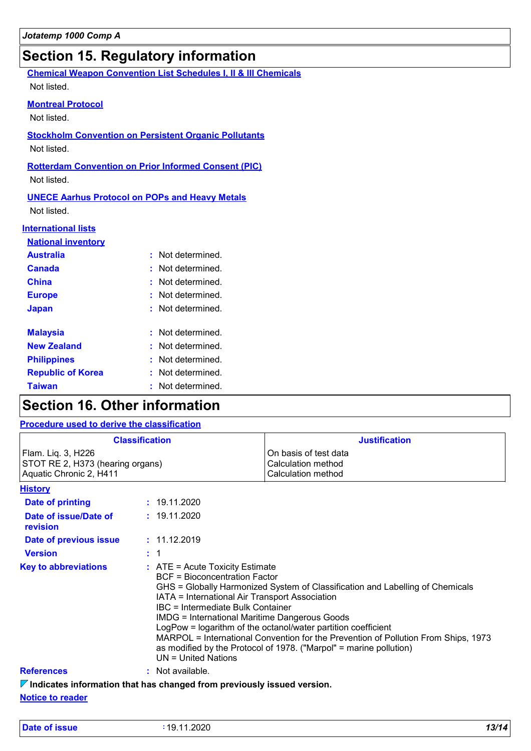# **Section 15. Regulatory information**

**Chemical Weapon Convention List Schedules I, II & III Chemicals** Not listed.

#### **Montreal Protocol**

Not listed.

**Stockholm Convention on Persistent Organic Pollutants**

Not listed.

**Rotterdam Convention on Prior Informed Consent (PIC)**

Not listed.

**UNECE Aarhus Protocol on POPs and Heavy Metals**

Not listed.

#### **International lists**

| <b>National inventory</b> |                    |
|---------------------------|--------------------|
| <b>Australia</b>          | : Not determined.  |
| Canada                    | : Not determined.  |
| China                     | Not determined.    |
| <b>Europe</b>             | Not determined.    |
| <b>Japan</b>              | : Not determined   |
|                           |                    |
| <b>Malaysia</b>           | Not determined     |
| <b>New Zealand</b>        | $:$ Not determined |
| <b>Philippines</b>        | Not determined     |
| <b>Republic of Korea</b>  | Not determined.    |
|                           | Not determined     |

# **Section 16. Other information**

### **Procedure used to derive the classification**

| <b>Classification</b>                                                             |         |                                                                                                                                                                                                                                                                                                                                                                                                                                                                                                                                                                 | <b>Justification</b>                                              |  |
|-----------------------------------------------------------------------------------|---------|-----------------------------------------------------------------------------------------------------------------------------------------------------------------------------------------------------------------------------------------------------------------------------------------------------------------------------------------------------------------------------------------------------------------------------------------------------------------------------------------------------------------------------------------------------------------|-------------------------------------------------------------------|--|
| Flam. Liq. 3, H226<br>STOT RE 2, H373 (hearing organs)<br>Aquatic Chronic 2, H411 |         |                                                                                                                                                                                                                                                                                                                                                                                                                                                                                                                                                                 | On basis of test data<br>Calculation method<br>Calculation method |  |
| <b>History</b>                                                                    |         |                                                                                                                                                                                                                                                                                                                                                                                                                                                                                                                                                                 |                                                                   |  |
| <b>Date of printing</b>                                                           |         | : 19.11.2020                                                                                                                                                                                                                                                                                                                                                                                                                                                                                                                                                    |                                                                   |  |
| Date of issue/Date of<br>revision                                                 |         | : 19.11.2020                                                                                                                                                                                                                                                                                                                                                                                                                                                                                                                                                    |                                                                   |  |
| Date of previous issue                                                            |         | : 11.12.2019                                                                                                                                                                                                                                                                                                                                                                                                                                                                                                                                                    |                                                                   |  |
| <b>Version</b>                                                                    | $\pm$ 1 |                                                                                                                                                                                                                                                                                                                                                                                                                                                                                                                                                                 |                                                                   |  |
| <b>Key to abbreviations</b>                                                       |         | $:$ ATE = Acute Toxicity Estimate<br><b>BCF</b> = Bioconcentration Factor<br>GHS = Globally Harmonized System of Classification and Labelling of Chemicals<br>IATA = International Air Transport Association<br>IBC = Intermediate Bulk Container<br><b>IMDG = International Maritime Dangerous Goods</b><br>LogPow = logarithm of the octanol/water partition coefficient<br>MARPOL = International Convention for the Prevention of Pollution From Ships, 1973<br>as modified by the Protocol of 1978. ("Marpol" = marine pollution)<br>$UN = United Nations$ |                                                                   |  |
| <b>References</b>                                                                 |         | : Not available.                                                                                                                                                                                                                                                                                                                                                                                                                                                                                                                                                |                                                                   |  |
| $\nabla$ Indicates information that has changed from previously issued version.   |         |                                                                                                                                                                                                                                                                                                                                                                                                                                                                                                                                                                 |                                                                   |  |
| <b>Notice to reader</b>                                                           |         |                                                                                                                                                                                                                                                                                                                                                                                                                                                                                                                                                                 |                                                                   |  |